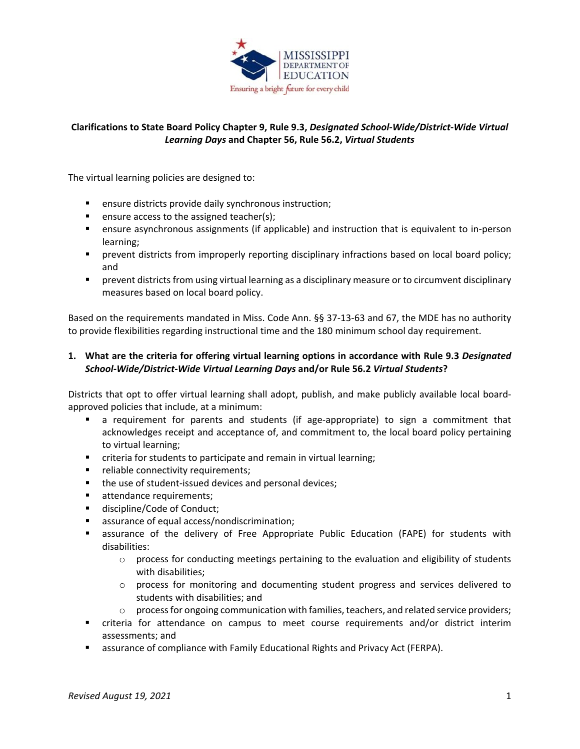

# **Clarifications to State Board Policy Chapter 9, Rule 9.3,** *Designated School-Wide/District-Wide Virtual Learning Days* **and Chapter 56, Rule 56.2,** *Virtual Students*

The virtual learning policies are designed to:

- **EXECT** ensure districts provide daily synchronous instruction;
- **e** ensure access to the assigned teacher(s);
- ensure asynchronous assignments (if applicable) and instruction that is equivalent to in-person learning;
- **Permianal in the varior incredition** in properly reporting disciplinary infractions based on local board policy; and
- prevent districts from using virtual learning as a disciplinary measure or to circumvent disciplinary measures based on local board policy.

Based on the requirements mandated in Miss. Code Ann. §§ 37-13-63 and 67, the MDE has no authority to provide flexibilities regarding instructional time and the 180 minimum school day requirement.

### **1. What are the criteria for offering virtual learning options in accordance with Rule 9.3** *Designated School-Wide/District-Wide Virtual Learning Days* **and/or Rule 56.2** *Virtual Students***?**

Districts that opt to offer virtual learning shall adopt, publish, and make publicly available local boardapproved policies that include, at a minimum:

- a requirement for parents and students (if age-appropriate) to sign a commitment that acknowledges receipt and acceptance of, and commitment to, the local board policy pertaining to virtual learning;
- criteria for students to participate and remain in virtual learning;
- **F** reliable connectivity requirements;
- the use of student-issued devices and personal devices;
- **EXECUTE:** attendance requirements;
- **discipline/Code of Conduct;**
- **EXEC** assurance of equal access/nondiscrimination;
- assurance of the delivery of Free Appropriate Public Education (FAPE) for students with disabilities:
	- $\circ$  process for conducting meetings pertaining to the evaluation and eligibility of students with disabilities;
	- o process for monitoring and documenting student progress and services delivered to students with disabilities; and
	- $\circ$  process for ongoing communication with families, teachers, and related service providers;
- criteria for attendance on campus to meet course requirements and/or district interim assessments; and
- **E** assurance of compliance with Family Educational Rights and Privacy Act (FERPA).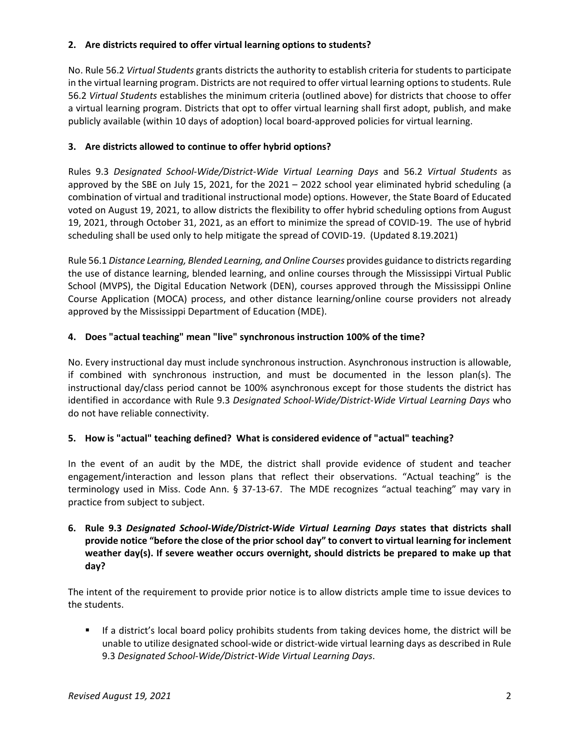### **2. Are districts required to offer virtual learning options to students?**

No. Rule 56.2 *Virtual Students* grants districts the authority to establish criteria for students to participate in the virtual learning program. Districts are not required to offer virtual learning options to students. Rule 56.2 *Virtual Students* establishes the minimum criteria (outlined above) for districts that choose to offer a virtual learning program. Districts that opt to offer virtual learning shall first adopt, publish, and make publicly available (within 10 days of adoption) local board-approved policies for virtual learning.

### **3. Are districts allowed to continue to offer hybrid options?**

Rules 9.3 *Designated School-Wide/District-Wide Virtual Learning Days* and 56.2 *Virtual Students* as approved by the SBE on July 15, 2021, for the 2021 – 2022 school year eliminated hybrid scheduling (a combination of virtual and traditional instructional mode) options. However, the State Board of Educated voted on August 19, 2021, to allow districts the flexibility to offer hybrid scheduling options from August 19, 2021, through October 31, 2021, as an effort to minimize the spread of COVID-19. The use of hybrid scheduling shall be used only to help mitigate the spread of COVID-19. (Updated 8.19.2021)

Rule 56.1 *Distance Learning, Blended Learning, and Online Courses* provides guidance to districts regarding the use of distance learning, blended learning, and online courses through the Mississippi Virtual Public School (MVPS), the Digital Education Network (DEN), courses approved through the Mississippi Online Course Application (MOCA) process, and other distance learning/online course providers not already approved by the Mississippi Department of Education (MDE).

### **4. Does "actual teaching" mean "live" synchronous instruction 100% of the time?**

No. Every instructional day must include synchronous instruction. Asynchronous instruction is allowable, if combined with synchronous instruction, and must be documented in the lesson plan(s). The instructional day/class period cannot be 100% asynchronous except for those students the district has identified in accordance with Rule 9.3 *Designated School-Wide/District-Wide Virtual Learning Days* who do not have reliable connectivity.

#### **5. How is "actual" teaching defined? What is considered evidence of "actual" teaching?**

In the event of an audit by the MDE, the district shall provide evidence of student and teacher engagement/interaction and lesson plans that reflect their observations. "Actual teaching" is the terminology used in Miss. Code Ann. § 37-13-67. The MDE recognizes "actual teaching" may vary in practice from subject to subject.

# **6. Rule 9.3** *Designated School-Wide/District-Wide Virtual Learning Days* **states that districts shall provide notice "before the close of the prior school day" to convert to virtual learning for inclement weather day(s). If severe weather occurs overnight, should districts be prepared to make up that day?**

The intent of the requirement to provide prior notice is to allow districts ample time to issue devices to the students.

 If a district's local board policy prohibits students from taking devices home, the district will be unable to utilize designated school-wide or district-wide virtual learning days as described in Rule 9.3 *Designated School-Wide/District-Wide Virtual Learning Days*.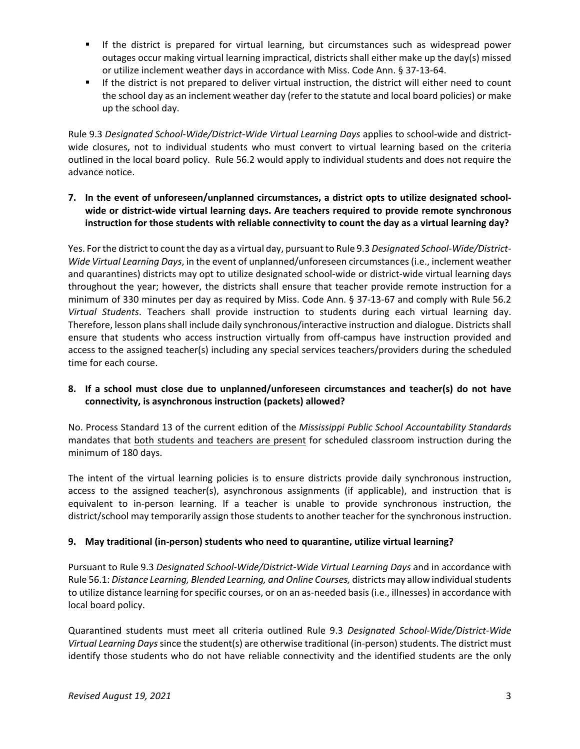- If the district is prepared for virtual learning, but circumstances such as widespread power outages occur making virtual learning impractical, districts shall either make up the day(s) missed or utilize inclement weather days in accordance with Miss. Code Ann. § 37-13-64.
- If the district is not prepared to deliver virtual instruction, the district will either need to count the school day as an inclement weather day (refer to the statute and local board policies) or make up the school day.

Rule 9.3 *Designated School-Wide/District-Wide Virtual Learning Days* applies to school-wide and districtwide closures, not to individual students who must convert to virtual learning based on the criteria outlined in the local board policy. Rule 56.2 would apply to individual students and does not require the advance notice.

**7. In the event of unforeseen/unplanned circumstances, a district opts to utilize designated schoolwide or district-wide virtual learning days. Are teachers required to provide remote synchronous instruction for those students with reliable connectivity to count the day as a virtual learning day?** 

Yes. For the district to count the day as a virtual day, pursuant to Rule 9.3 *Designated School-Wide/District-Wide Virtual Learning Days*, in the event of unplanned/unforeseen circumstances (i.e., inclement weather and quarantines) districts may opt to utilize designated school-wide or district-wide virtual learning days throughout the year; however, the districts shall ensure that teacher provide remote instruction for a minimum of 330 minutes per day as required by Miss. Code Ann. § 37-13-67 and comply with Rule 56.2 *Virtual Students*. Teachers shall provide instruction to students during each virtual learning day. Therefore, lesson plans shall include daily synchronous/interactive instruction and dialogue. Districts shall ensure that students who access instruction virtually from off-campus have instruction provided and access to the assigned teacher(s) including any special services teachers/providers during the scheduled time for each course.

### **8. If a school must close due to unplanned/unforeseen circumstances and teacher(s) do not have connectivity, is asynchronous instruction (packets) allowed?**

No. Process Standard 13 of the current edition of the *Mississippi Public School Accountability Standards* mandates that both students and teachers are present for scheduled classroom instruction during the minimum of 180 days.

The intent of the virtual learning policies is to ensure districts provide daily synchronous instruction, access to the assigned teacher(s), asynchronous assignments (if applicable), and instruction that is equivalent to in-person learning. If a teacher is unable to provide synchronous instruction, the district/school may temporarily assign those students to another teacher for the synchronous instruction.

## **9. May traditional (in-person) students who need to quarantine, utilize virtual learning?**

Pursuant to Rule 9.3 *Designated School-Wide/District-Wide Virtual Learning Days* and in accordance with Rule 56.1: *Distance Learning, Blended Learning, and Online Courses,* districts may allow individual students to utilize distance learning for specific courses, or on an as-needed basis (i.e., illnesses) in accordance with local board policy.

Quarantined students must meet all criteria outlined Rule 9.3 *Designated School-Wide/District-Wide Virtual Learning Days* since the student(s) are otherwise traditional (in-person) students. The district must identify those students who do not have reliable connectivity and the identified students are the only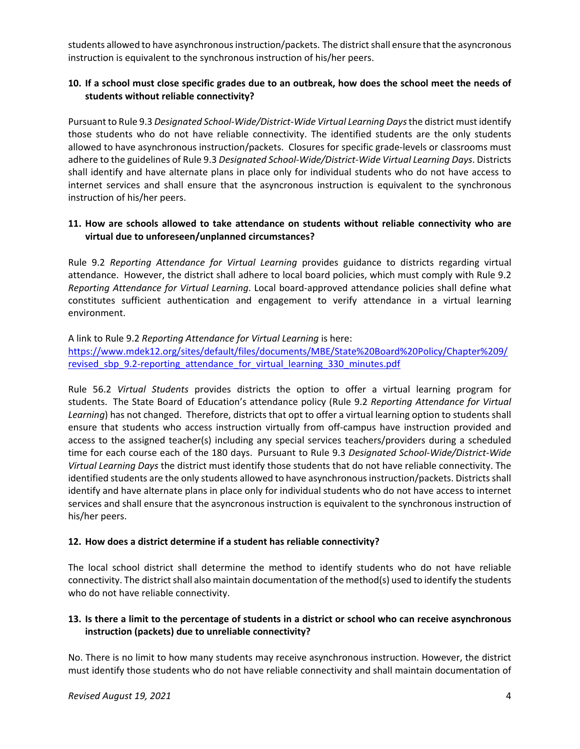students allowed to have asynchronous instruction/packets. The district shall ensure that the asyncronous instruction is equivalent to the synchronous instruction of his/her peers.

### **10. If a school must close specific grades due to an outbreak, how does the school meet the needs of students without reliable connectivity?**

Pursuant to Rule 9.3 *Designated School-Wide/District-Wide Virtual Learning Days*the district must identify those students who do not have reliable connectivity. The identified students are the only students allowed to have asynchronous instruction/packets. Closures for specific grade-levels or classrooms must adhere to the guidelines of Rule 9.3 *Designated School-Wide/District-Wide Virtual Learning Days*. Districts shall identify and have alternate plans in place only for individual students who do not have access to internet services and shall ensure that the asyncronous instruction is equivalent to the synchronous instruction of his/her peers.

### **11. How are schools allowed to take attendance on students without reliable connectivity who are virtual due to unforeseen/unplanned circumstances?**

Rule 9.2 *Reporting Attendance for Virtual Learning* provides guidance to districts regarding virtual attendance. However, the district shall adhere to local board policies, which must comply with Rule 9.2 *Reporting Attendance for Virtual Learning*. Local board-approved attendance policies shall define what constitutes sufficient authentication and engagement to verify attendance in a virtual learning environment.

A link to Rule 9.2 *Reporting Attendance for Virtual Learning* is here: [https://www.mdek12.org/sites/default/files/documents/MBE/State%20Board%20Policy/Chapter%209/](https://www.mdek12.org/sites/default/files/documents/MBE/State%20Board%20Policy/Chapter%209/revised_sbp_9.2-reporting_attendance_for_virtual_learning_330_minutes.pdf) revised sbp 9.2-reporting attendance for virtual learning 330 minutes.pdf

Rule 56.2 *Virtual Students* provides districts the option to offer a virtual learning program for students. The State Board of Education's attendance policy (Rule 9.2 *Reporting Attendance for Virtual Learning*) has not changed. Therefore, districts that opt to offer a virtual learning option to students shall ensure that students who access instruction virtually from off-campus have instruction provided and access to the assigned teacher(s) including any special services teachers/providers during a scheduled time for each course each of the 180 days. Pursuant to Rule 9.3 *Designated School-Wide/District-Wide Virtual Learning Days* the district must identify those students that do not have reliable connectivity. The identified students are the only students allowed to have asynchronous instruction/packets. Districts shall identify and have alternate plans in place only for individual students who do not have access to internet services and shall ensure that the asyncronous instruction is equivalent to the synchronous instruction of his/her peers.

## **12. How does a district determine if a student has reliable connectivity?**

The local school district shall determine the method to identify students who do not have reliable connectivity. The district shall also maintain documentation of the method(s) used to identify the students who do not have reliable connectivity.

## **13. Is there a limit to the percentage of students in a district or school who can receive asynchronous instruction (packets) due to unreliable connectivity?**

No. There is no limit to how many students may receive asynchronous instruction. However, the district must identify those students who do not have reliable connectivity and shall maintain documentation of